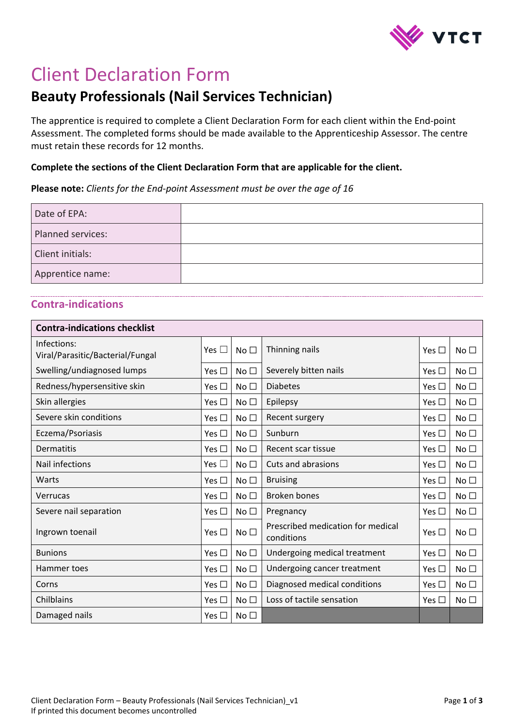

## Client Declaration Form

## **Beauty Professionals (Nail Services Technician)**

The apprentice is required to complete a Client Declaration Form for each client within the End-point Assessment. The completed forms should be made available to the Apprenticeship Assessor. The centre must retain these records for 12 months.

## **Complete the sections of the Client Declaration Form that are applicable for the client.**

**Please note:** *Clients for the End-point Assessment must be over the age of 16*

| Date of EPA:      |  |
|-------------------|--|
| Planned services: |  |
| Client initials:  |  |
| Apprentice name:  |  |

## **Contra-indications**

| <b>Contra-indications checklist</b>             |               |                 |                                                 |               |                 |
|-------------------------------------------------|---------------|-----------------|-------------------------------------------------|---------------|-----------------|
| Infections:<br>Viral/Parasitic/Bacterial/Fungal | Yes $\Box$    | No $\square$    | Thinning nails                                  | Yes $\square$ | No <sub>1</sub> |
| Swelling/undiagnosed lumps                      | Yes $\square$ | No $\square$    | Severely bitten nails                           | Yes $\Box$    | No <sub>1</sub> |
| Redness/hypersensitive skin                     | Yes $\Box$    | No $\square$    | <b>Diabetes</b>                                 | Yes $\Box$    | No <sub>1</sub> |
| Skin allergies                                  | Yes $\square$ | No $\square$    | Epilepsy                                        | Yes $\Box$    | No <sub>1</sub> |
| Severe skin conditions                          | Yes $\square$ | No <sub>1</sub> | Recent surgery                                  | Yes $\Box$    | No <sub>1</sub> |
| Eczema/Psoriasis                                | Yes $\Box$    | No $\square$    | Sunburn                                         | Yes $\Box$    | No <sub>1</sub> |
| Dermatitis                                      | Yes $\Box$    | No <sub>1</sub> | Recent scar tissue                              | Yes $\Box$    | No <sub>1</sub> |
| <b>Nail infections</b>                          | Yes $\Box$    | No $\square$    | Cuts and abrasions                              | Yes $\Box$    | No <sub>1</sub> |
| Warts                                           | Yes $\Box$    | No <sub>1</sub> | <b>Bruising</b>                                 | Yes $\Box$    | No <sub>1</sub> |
| Verrucas                                        | Yes $\square$ | No <sub>1</sub> | <b>Broken bones</b>                             | Yes $\Box$    | No <sub>1</sub> |
| Severe nail separation                          | Yes $\Box$    | No $\square$    | Pregnancy                                       | Yes $\Box$    | No <sub>1</sub> |
| Ingrown toenail                                 | Yes $\Box$    | No $\square$    | Prescribed medication for medical<br>conditions | Yes $\Box$    | No $\square$    |
| <b>Bunions</b>                                  | Yes $\Box$    | No <sub>1</sub> | Undergoing medical treatment                    | Yes $\Box$    | No <sub>1</sub> |
| Hammer toes                                     | Yes $\Box$    | No <sub>1</sub> | Undergoing cancer treatment                     | Yes $\Box$    | No <sub>1</sub> |
| Corns                                           | Yes $\square$ | No <sub>1</sub> | Diagnosed medical conditions                    | Yes $\Box$    | No <sub>1</sub> |
| Chilblains                                      | Yes $\square$ | No <sub>1</sub> | Loss of tactile sensation                       | Yes $\Box$    | No <sub>1</sub> |
| Damaged nails                                   | Yes $\Box$    | No $\square$    |                                                 |               |                 |